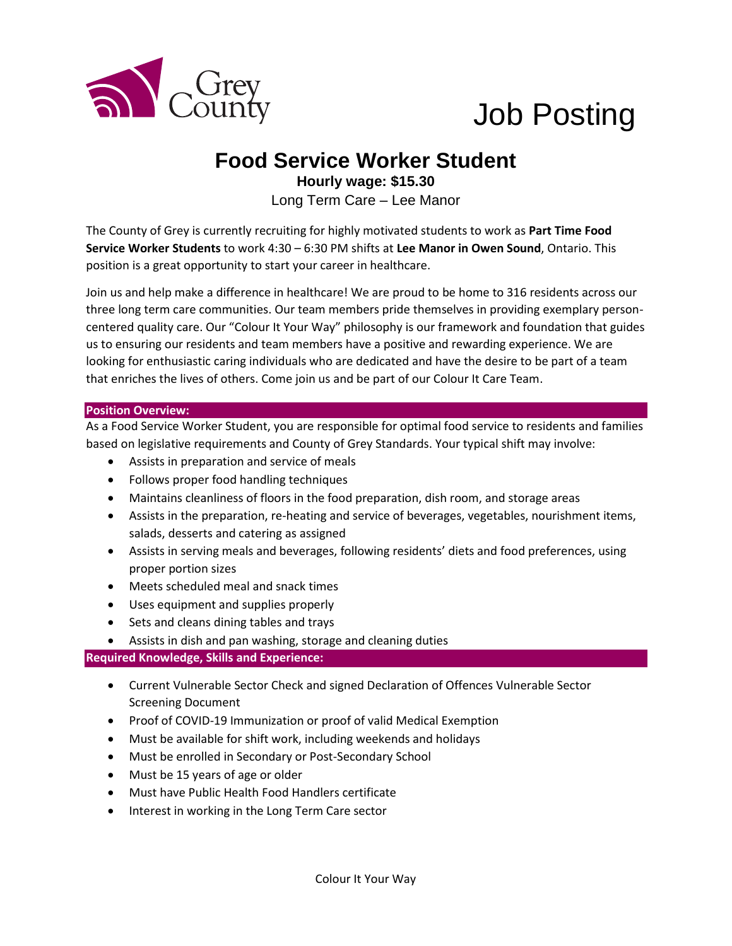

# Job Posting

## **Food Service Worker Student**

**Hourly wage: \$15.30** Long Term Care – Lee Manor

The County of Grey is currently recruiting for highly motivated students to work as **Part Time Food Service Worker Students** to work 4:30 – 6:30 PM shifts at **Lee Manor in Owen Sound**, Ontario. This position is a great opportunity to start your career in healthcare.

Join us and help make a difference in healthcare! We are proud to be home to 316 residents across our three long term care communities. Our team members pride themselves in providing exemplary personcentered quality care. Our "Colour It Your Way" philosophy is our framework and foundation that guides us to ensuring our residents and team members have a positive and rewarding experience. We are looking for enthusiastic caring individuals who are dedicated and have the desire to be part of a team that enriches the lives of others. Come join us and be part of our Colour It Care Team.

#### **Position Overview:**

As a Food Service Worker Student, you are responsible for optimal food service to residents and families based on legislative requirements and County of Grey Standards. Your typical shift may involve:

- Assists in preparation and service of meals
- Follows proper food handling techniques
- Maintains cleanliness of floors in the food preparation, dish room, and storage areas
- Assists in the preparation, re-heating and service of beverages, vegetables, nourishment items, salads, desserts and catering as assigned
- Assists in serving meals and beverages, following residents' diets and food preferences, using proper portion sizes
- Meets scheduled meal and snack times
- Uses equipment and supplies properly
- Sets and cleans dining tables and trays
- Assists in dish and pan washing, storage and cleaning duties

#### **Required Knowledge, Skills and Experience:**

- Current Vulnerable Sector Check and signed Declaration of Offences Vulnerable Sector Screening Document
- Proof of COVID-19 Immunization or proof of valid Medical Exemption
- Must be available for shift work, including weekends and holidays
- Must be enrolled in Secondary or Post-Secondary School
- Must be 15 years of age or older
- Must have Public Health Food Handlers certificate
- Interest in working in the Long Term Care sector